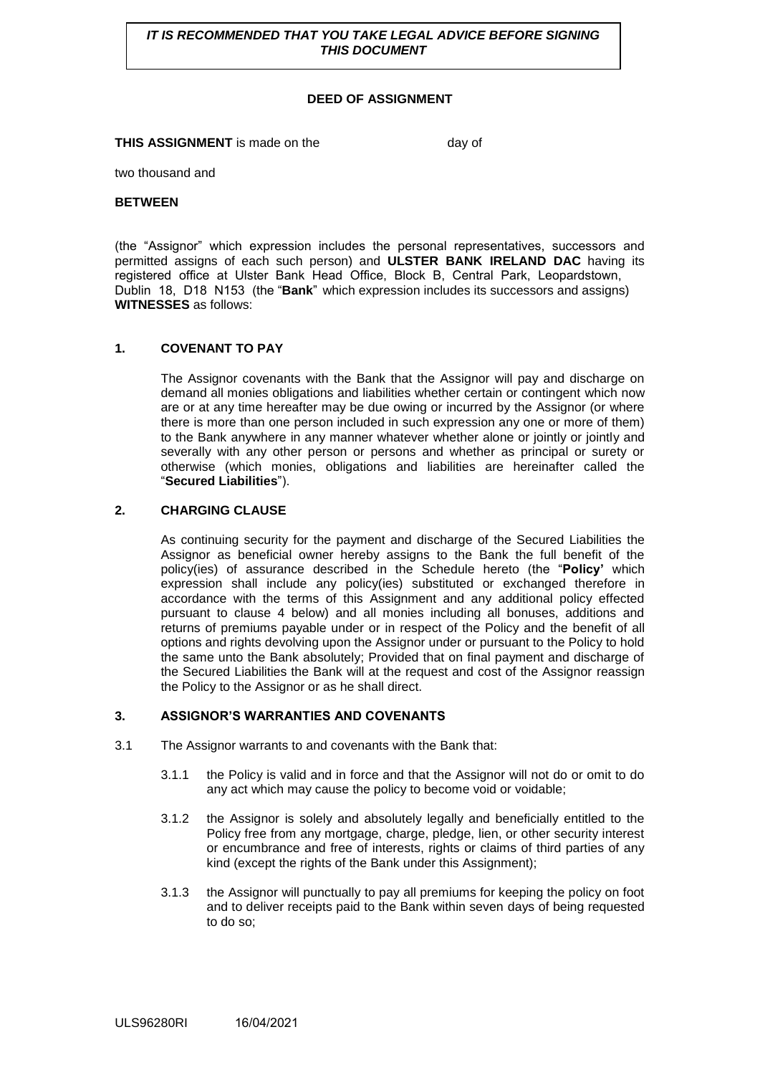**IT IS RECOMMENDED THAT YOU TAKE LEGAL ADVICE BEFORE SIGNING** *THIS DOCUMENT* 

## **DEED OF ASSIGNMENT**

**THIS ASSIGNMENT** is made on the day of

two thousand and

#### **BETWEEN**

(the "Assignor" which expression includes the personal representatives, successors and permitted assigns of each such person) and **ULSTER BANK IRELAND DAC** having its registered office at Ulster Bank Head Office, Block B, Central Park, Leopardstown, Dublin 18, D18 N153 (the "**Bank**" which expression includes its successors and assigns) **WITNESSES** as follows:

#### **1. COVENANT TO PAY**

The Assignor covenants with the Bank that the Assignor will pay and discharge on demand all monies obligations and liabilities whether certain or contingent which now are or at any time hereafter may be due owing or incurred by the Assignor (or where there is more than one person included in such expression any one or more of them) to the Bank anywhere in any manner whatever whether alone or jointly or jointly and severally with any other person or persons and whether as principal or surety or otherwise (which monies, obligations and liabilities are hereinafter called the "**Secured Liabilities**").

## **2. CHARGING CLAUSE**

As continuing security for the payment and discharge of the Secured Liabilities the Assignor as beneficial owner hereby assigns to the Bank the full benefit of the policy(ies) of assurance described in the Schedule hereto (the "**Policy'** which expression shall include any policy(ies) substituted or exchanged therefore in accordance with the terms of this Assignment and any additional policy effected pursuant to clause 4 below) and all monies including all bonuses, additions and returns of premiums payable under or in respect of the Policy and the benefit of all options and rights devolving upon the Assignor under or pursuant to the Policy to hold the same unto the Bank absolutely; Provided that on final payment and discharge of the Secured Liabilities the Bank will at the request and cost of the Assignor reassign the Policy to the Assignor or as he shall direct.

#### **3. ASSIGNOR'S WARRANTIES AND COVENANTS**

- 3.1 The Assignor warrants to and covenants with the Bank that:
	- 3.1.1 the Policy is valid and in force and that the Assignor will not do or omit to do any act which may cause the policy to become void or voidable;
	- 3.1.2 the Assignor is solely and absolutely legally and beneficially entitled to the Policy free from any mortgage, charge, pledge, lien, or other security interest or encumbrance and free of interests, rights or claims of third parties of any kind (except the rights of the Bank under this Assignment);
	- 3.1.3 the Assignor will punctually to pay all premiums for keeping the policy on foot and to deliver receipts paid to the Bank within seven days of being requested to do so;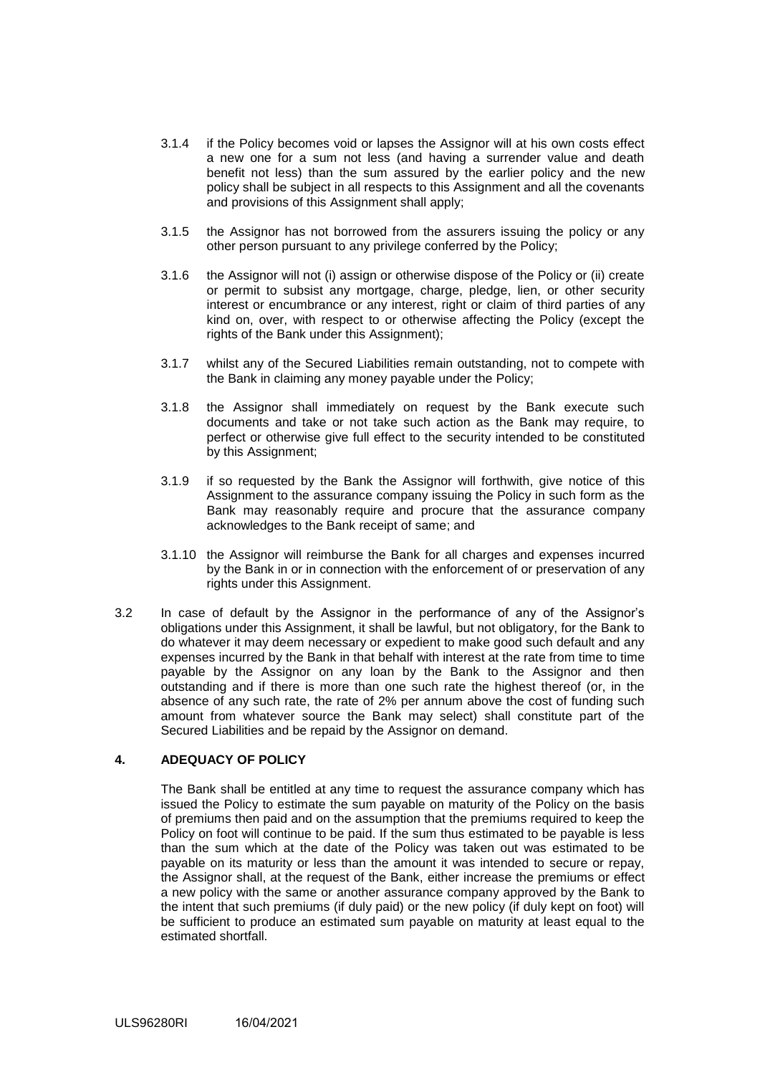- 3.1.4 if the Policy becomes void or lapses the Assignor will at his own costs effect a new one for a sum not less (and having a surrender value and death benefit not less) than the sum assured by the earlier policy and the new policy shall be subject in all respects to this Assignment and all the covenants and provisions of this Assignment shall apply;
- 3.1.5 the Assignor has not borrowed from the assurers issuing the policy or any other person pursuant to any privilege conferred by the Policy;
- 3.1.6 the Assignor will not (i) assign or otherwise dispose of the Policy or (ii) create or permit to subsist any mortgage, charge, pledge, lien, or other security interest or encumbrance or any interest, right or claim of third parties of any kind on, over, with respect to or otherwise affecting the Policy (except the rights of the Bank under this Assignment);
- 3.1.7 whilst any of the Secured Liabilities remain outstanding, not to compete with the Bank in claiming any money payable under the Policy;
- 3.1.8 the Assignor shall immediately on request by the Bank execute such documents and take or not take such action as the Bank may require, to perfect or otherwise give full effect to the security intended to be constituted by this Assignment;
- 3.1.9 if so requested by the Bank the Assignor will forthwith, give notice of this Assignment to the assurance company issuing the Policy in such form as the Bank may reasonably require and procure that the assurance company acknowledges to the Bank receipt of same; and
- 3.1.10 the Assignor will reimburse the Bank for all charges and expenses incurred by the Bank in or in connection with the enforcement of or preservation of any rights under this Assignment.
- 3.2 In case of default by the Assignor in the performance of any of the Assignor's obligations under this Assignment, it shall be lawful, but not obligatory, for the Bank to do whatever it may deem necessary or expedient to make good such default and any expenses incurred by the Bank in that behalf with interest at the rate from time to time payable by the Assignor on any loan by the Bank to the Assignor and then outstanding and if there is more than one such rate the highest thereof (or, in the absence of any such rate, the rate of 2% per annum above the cost of funding such amount from whatever source the Bank may select) shall constitute part of the Secured Liabilities and be repaid by the Assignor on demand.

# **4. ADEQUACY OF POLICY**

The Bank shall be entitled at any time to request the assurance company which has issued the Policy to estimate the sum payable on maturity of the Policy on the basis of premiums then paid and on the assumption that the premiums required to keep the Policy on foot will continue to be paid. If the sum thus estimated to be payable is less than the sum which at the date of the Policy was taken out was estimated to be payable on its maturity or less than the amount it was intended to secure or repay, the Assignor shall, at the request of the Bank, either increase the premiums or effect a new policy with the same or another assurance company approved by the Bank to the intent that such premiums (if duly paid) or the new policy (if duly kept on foot) will be sufficient to produce an estimated sum payable on maturity at least equal to the estimated shortfall.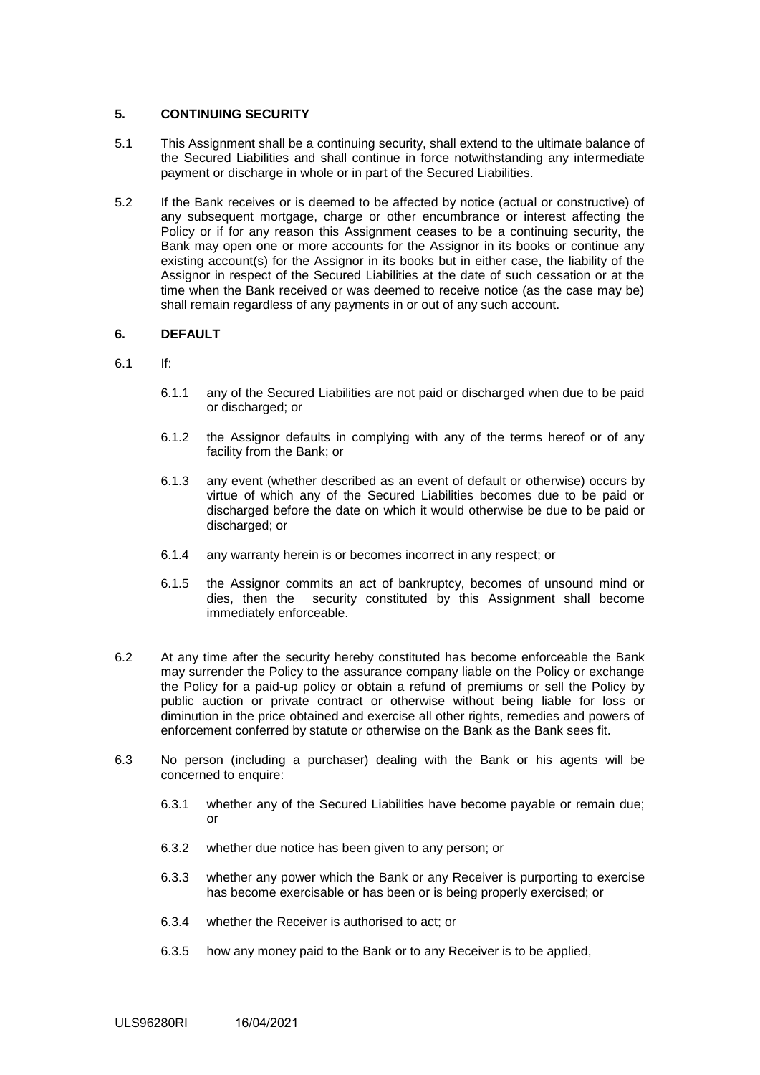## **5. CONTINUING SECURITY**

- 5.1 This Assignment shall be a continuing security, shall extend to the ultimate balance of the Secured Liabilities and shall continue in force notwithstanding any intermediate payment or discharge in whole or in part of the Secured Liabilities.
- 5.2 If the Bank receives or is deemed to be affected by notice (actual or constructive) of any subsequent mortgage, charge or other encumbrance or interest affecting the Policy or if for any reason this Assignment ceases to be a continuing security, the Bank may open one or more accounts for the Assignor in its books or continue any existing account(s) for the Assignor in its books but in either case, the liability of the Assignor in respect of the Secured Liabilities at the date of such cessation or at the time when the Bank received or was deemed to receive notice (as the case may be) shall remain regardless of any payments in or out of any such account.

# **6. DEFAULT**

- 6.1 If:
	- 6.1.1 any of the Secured Liabilities are not paid or discharged when due to be paid or discharged; or
	- 6.1.2 the Assignor defaults in complying with any of the terms hereof or of any facility from the Bank; or
	- 6.1.3 any event (whether described as an event of default or otherwise) occurs by virtue of which any of the Secured Liabilities becomes due to be paid or discharged before the date on which it would otherwise be due to be paid or discharged; or
	- 6.1.4 any warranty herein is or becomes incorrect in any respect; or
	- 6.1.5 the Assignor commits an act of bankruptcy, becomes of unsound mind or dies, then the security constituted by this Assignment shall become immediately enforceable.
- 6.2 At any time after the security hereby constituted has become enforceable the Bank may surrender the Policy to the assurance company liable on the Policy or exchange the Policy for a paid-up policy or obtain a refund of premiums or sell the Policy by public auction or private contract or otherwise without being liable for loss or diminution in the price obtained and exercise all other rights, remedies and powers of enforcement conferred by statute or otherwise on the Bank as the Bank sees fit.
- 6.3 No person (including a purchaser) dealing with the Bank or his agents will be concerned to enquire:
	- 6.3.1 whether any of the Secured Liabilities have become payable or remain due; or
	- 6.3.2 whether due notice has been given to any person; or
	- 6.3.3 whether any power which the Bank or any Receiver is purporting to exercise has become exercisable or has been or is being properly exercised; or
	- 6.3.4 whether the Receiver is authorised to act; or
	- 6.3.5 how any money paid to the Bank or to any Receiver is to be applied,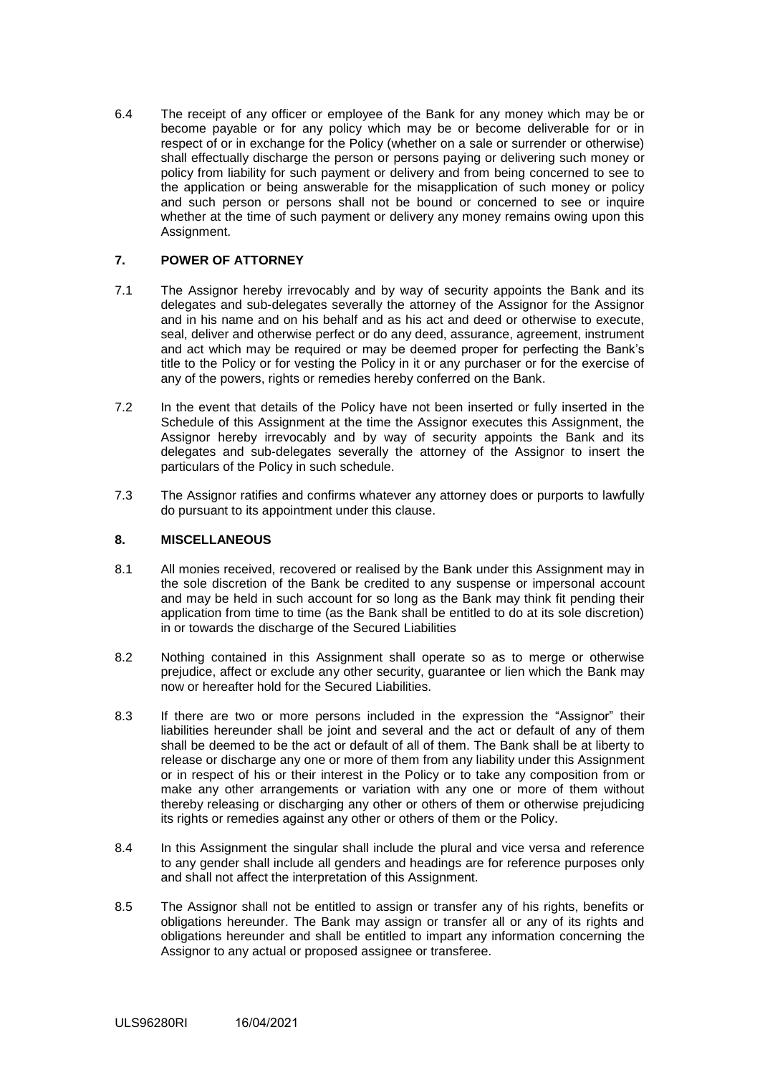6.4 The receipt of any officer or employee of the Bank for any money which may be or become payable or for any policy which may be or become deliverable for or in respect of or in exchange for the Policy (whether on a sale or surrender or otherwise) shall effectually discharge the person or persons paying or delivering such money or policy from liability for such payment or delivery and from being concerned to see to the application or being answerable for the misapplication of such money or policy and such person or persons shall not be bound or concerned to see or inquire whether at the time of such payment or delivery any money remains owing upon this Assignment.

# **7. POWER OF ATTORNEY**

- 7.1 The Assignor hereby irrevocably and by way of security appoints the Bank and its delegates and sub-delegates severally the attorney of the Assignor for the Assignor and in his name and on his behalf and as his act and deed or otherwise to execute, seal, deliver and otherwise perfect or do any deed, assurance, agreement, instrument and act which may be required or may be deemed proper for perfecting the Bank's title to the Policy or for vesting the Policy in it or any purchaser or for the exercise of any of the powers, rights or remedies hereby conferred on the Bank.
- 7.2 In the event that details of the Policy have not been inserted or fully inserted in the Schedule of this Assignment at the time the Assignor executes this Assignment, the Assignor hereby irrevocably and by way of security appoints the Bank and its delegates and sub-delegates severally the attorney of the Assignor to insert the particulars of the Policy in such schedule.
- 7.3 The Assignor ratifies and confirms whatever any attorney does or purports to lawfully do pursuant to its appointment under this clause.

## **8. MISCELLANEOUS**

- 8.1 All monies received, recovered or realised by the Bank under this Assignment may in the sole discretion of the Bank be credited to any suspense or impersonal account and may be held in such account for so long as the Bank may think fit pending their application from time to time (as the Bank shall be entitled to do at its sole discretion) in or towards the discharge of the Secured Liabilities
- 8.2 Nothing contained in this Assignment shall operate so as to merge or otherwise prejudice, affect or exclude any other security, guarantee or lien which the Bank may now or hereafter hold for the Secured Liabilities.
- 8.3 If there are two or more persons included in the expression the "Assignor" their liabilities hereunder shall be joint and several and the act or default of any of them shall be deemed to be the act or default of all of them. The Bank shall be at liberty to release or discharge any one or more of them from any liability under this Assignment or in respect of his or their interest in the Policy or to take any composition from or make any other arrangements or variation with any one or more of them without thereby releasing or discharging any other or others of them or otherwise prejudicing its rights or remedies against any other or others of them or the Policy.
- 8.4 In this Assignment the singular shall include the plural and vice versa and reference to any gender shall include all genders and headings are for reference purposes only and shall not affect the interpretation of this Assignment.
- 8.5 The Assignor shall not be entitled to assign or transfer any of his rights, benefits or obligations hereunder. The Bank may assign or transfer all or any of its rights and obligations hereunder and shall be entitled to impart any information concerning the Assignor to any actual or proposed assignee or transferee.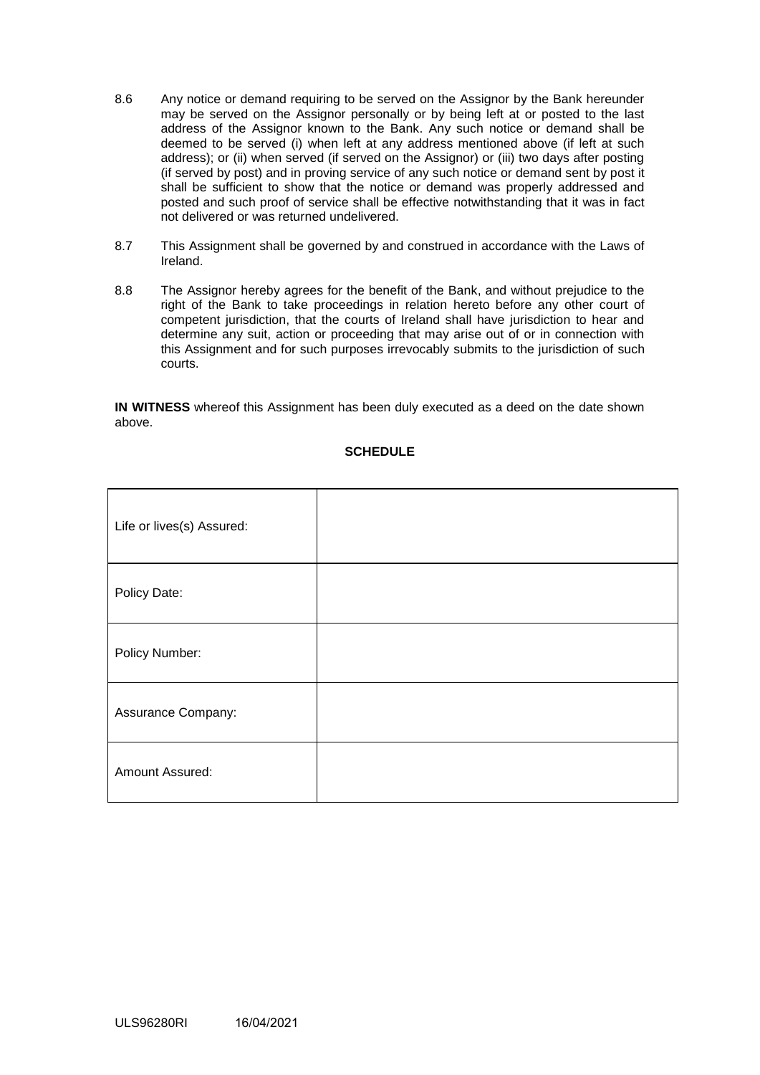- 8.6 Any notice or demand requiring to be served on the Assignor by the Bank hereunder may be served on the Assignor personally or by being left at or posted to the last address of the Assignor known to the Bank. Any such notice or demand shall be deemed to be served (i) when left at any address mentioned above (if left at such address); or (ii) when served (if served on the Assignor) or (iii) two days after posting (if served by post) and in proving service of any such notice or demand sent by post it shall be sufficient to show that the notice or demand was properly addressed and posted and such proof of service shall be effective notwithstanding that it was in fact not delivered or was returned undelivered.
- 8.7 This Assignment shall be governed by and construed in accordance with the Laws of Ireland.
- 8.8 The Assignor hereby agrees for the benefit of the Bank, and without prejudice to the right of the Bank to take proceedings in relation hereto before any other court of competent jurisdiction, that the courts of Ireland shall have jurisdiction to hear and determine any suit, action or proceeding that may arise out of or in connection with this Assignment and for such purposes irrevocably submits to the jurisdiction of such courts.

**IN WITNESS** whereof this Assignment has been duly executed as a deed on the date shown above.

| Life or lives(s) Assured: |  |
|---------------------------|--|
| Policy Date:              |  |
| Policy Number:            |  |
| Assurance Company:        |  |
| Amount Assured:           |  |

# **SCHEDULE**